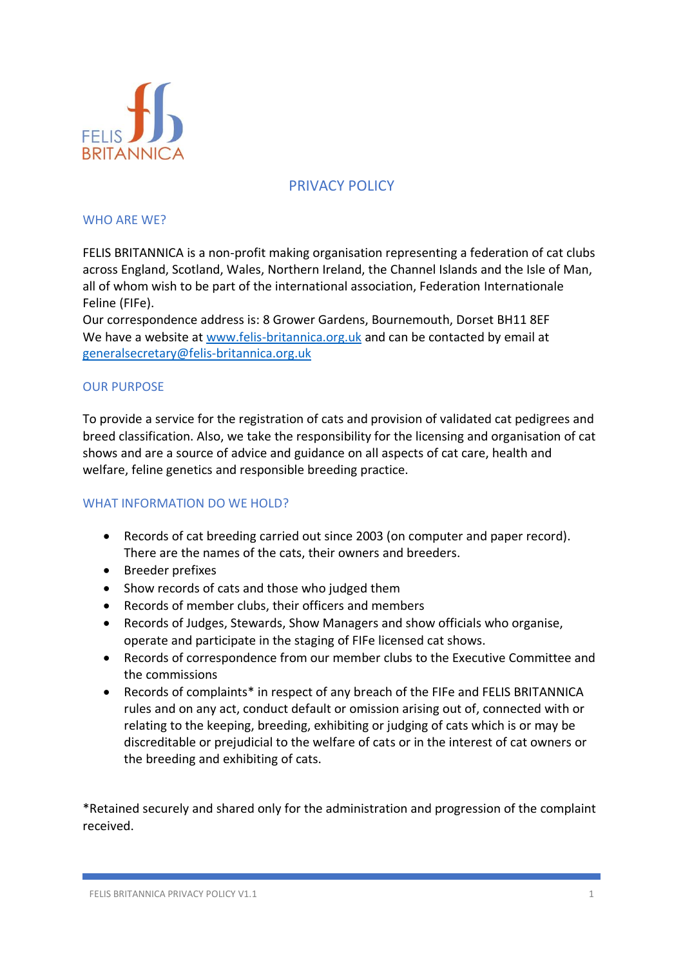

# PRIVACY POLICY

#### WHO ARE WE?

FELIS BRITANNICA is a non-profit making organisation representing a federation of cat clubs across England, Scotland, Wales, Northern Ireland, the Channel Islands and the Isle of Man, all of whom wish to be part of the international association, Federation Internationale Feline (FIFe).

Our correspondence address is: 8 Grower Gardens, Bournemouth, Dorset BH11 8EF We have a website at [www.felis-britannica.org.uk](http://www.felis-britannica.org.uk/) and can be contacted by email at [generalsecretary@felis-britannica.org.uk](mailto:generalsecretary@felis-britannica.org.uk)

#### OUR PURPOSE

To provide a service for the registration of cats and provision of validated cat pedigrees and breed classification. Also, we take the responsibility for the licensing and organisation of cat shows and are a source of advice and guidance on all aspects of cat care, health and welfare, feline genetics and responsible breeding practice.

## WHAT INFORMATION DO WE HOLD?

- Records of cat breeding carried out since 2003 (on computer and paper record). There are the names of the cats, their owners and breeders.
- Breeder prefixes
- Show records of cats and those who judged them
- Records of member clubs, their officers and members
- Records of Judges, Stewards, Show Managers and show officials who organise, operate and participate in the staging of FIFe licensed cat shows.
- Records of correspondence from our member clubs to the Executive Committee and the commissions
- Records of complaints\* in respect of any breach of the FIFe and FELIS BRITANNICA rules and on any act, conduct default or omission arising out of, connected with or relating to the keeping, breeding, exhibiting or judging of cats which is or may be discreditable or prejudicial to the welfare of cats or in the interest of cat owners or the breeding and exhibiting of cats.

\*Retained securely and shared only for the administration and progression of the complaint received.

FELIS BRITANNICA PRIVACY POLICY V1.1 1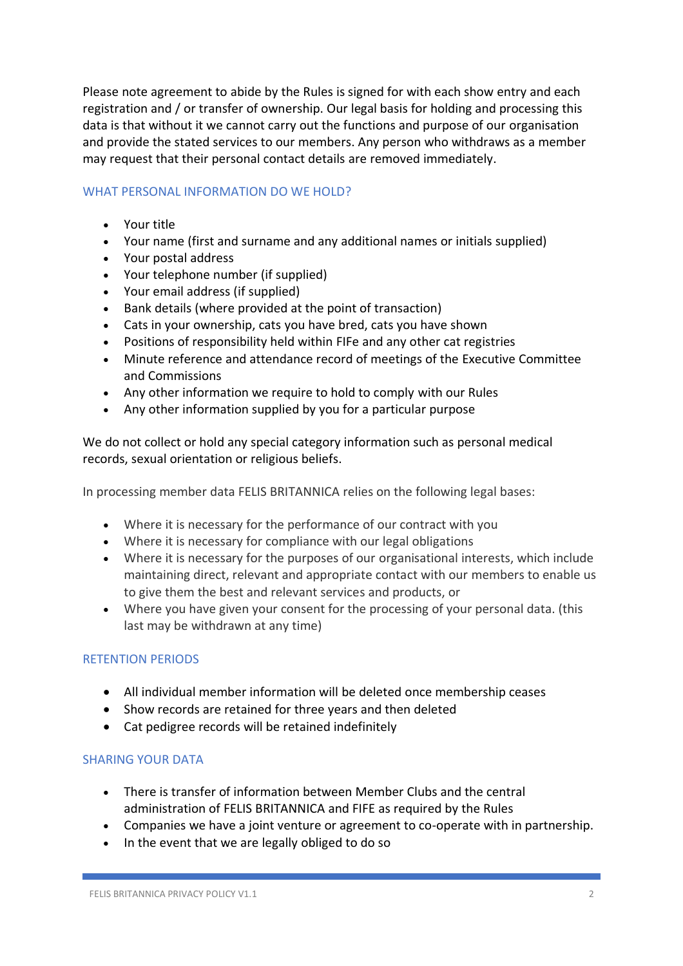Please note agreement to abide by the Rules is signed for with each show entry and each registration and / or transfer of ownership. Our legal basis for holding and processing this data is that without it we cannot carry out the functions and purpose of our organisation and provide the stated services to our members. Any person who withdraws as a member may request that their personal contact details are removed immediately.

## WHAT PERSONAL INFORMATION DO WE HOLD?

- Your title
- Your name (first and surname and any additional names or initials supplied)
- Your postal address
- Your telephone number (if supplied)
- Your email address (if supplied)
- Bank details (where provided at the point of transaction)
- Cats in your ownership, cats you have bred, cats you have shown
- Positions of responsibility held within FIFe and any other cat registries
- Minute reference and attendance record of meetings of the Executive Committee and Commissions
- Any other information we require to hold to comply with our Rules
- Any other information supplied by you for a particular purpose

We do not collect or hold any special category information such as personal medical records, sexual orientation or religious beliefs.

In processing member data FELIS BRITANNICA relies on the following legal bases:

- Where it is necessary for the performance of our contract with you
- Where it is necessary for compliance with our legal obligations
- Where it is necessary for the purposes of our organisational interests, which include maintaining direct, relevant and appropriate contact with our members to enable us to give them the best and relevant services and products, or
- Where you have given your consent for the processing of your personal data. (this last may be withdrawn at any time)

## RETENTION PERIODS

- All individual member information will be deleted once membership ceases
- Show records are retained for three years and then deleted
- Cat pedigree records will be retained indefinitely

## SHARING YOUR DATA

- There is transfer of information between Member Clubs and the central administration of FELIS BRITANNICA and FIFE as required by the Rules
- Companies we have a joint venture or agreement to co-operate with in partnership.
- In the event that we are legally obliged to do so